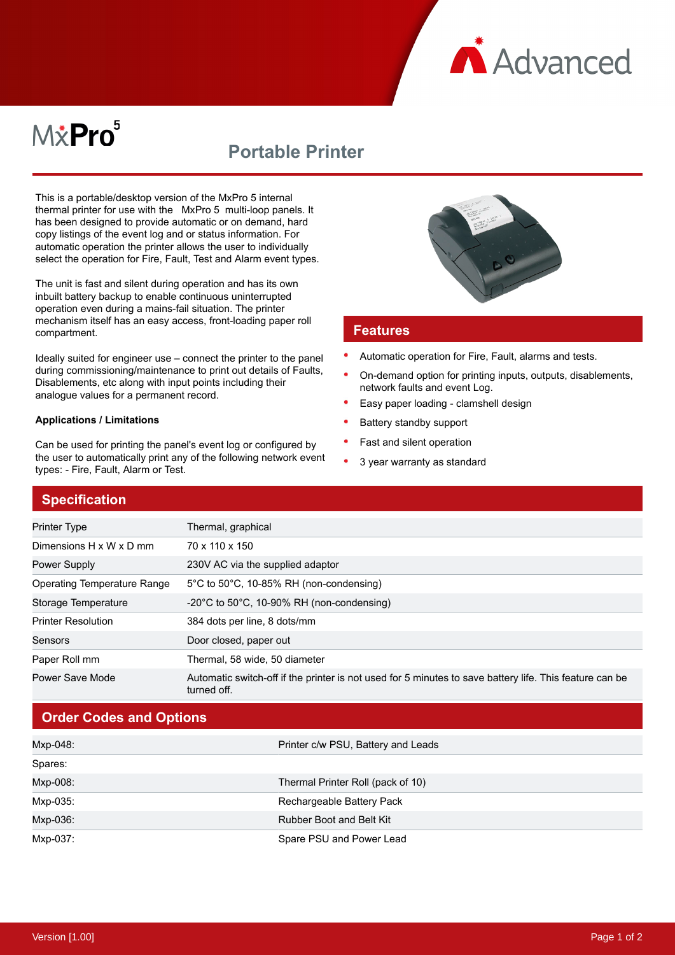

# M*\**Pro<sup>5</sup>

# **Portable Printer**

This is a portable/desktop version of the MxPro 5 internal thermal printer for use with the MxPro 5 multi-loop panels. It has been designed to provide automatic or on demand, hard copy listings of the event log and or status information. For automatic operation the printer allows the user to individually select the operation for Fire, Fault, Test and Alarm event types.

The unit is fast and silent during operation and has its own inbuilt battery backup to enable continuous uninterrupted operation even during a mains-fail situation. The printer mechanism itself has an easy access, front-loading paper roll compartment.

Ideally suited for engineer use – connect the printer to the panel during commissioning/maintenance to print out details of Faults, Disablements, etc along with input points including their analogue values for a permanent record.

#### **Applications / Limitations**

Can be used for printing the panel's event log or configured by the user to automatically print any of the following network event types: - Fire, Fault, Alarm or Test.



#### **Features**

- Automatic operation for Fire, Fault, alarms and tests.
- On-demand option for printing inputs, outputs, disablements, network faults and event Log.
- Easy paper loading clamshell design
- Battery standby support
- Fast and silent operation
- $\bullet$ 3 year warranty as standard

### **Specification**

| <b>Printer Type</b>                | Thermal, graphical                                                                                                     |
|------------------------------------|------------------------------------------------------------------------------------------------------------------------|
| Dimensions H x W x D mm            | 70 x 110 x 150                                                                                                         |
| <b>Power Supply</b>                | 230V AC via the supplied adaptor                                                                                       |
| <b>Operating Temperature Range</b> | $5^{\circ}$ C to $50^{\circ}$ C, 10-85% RH (non-condensing)                                                            |
| Storage Temperature                | $-20^{\circ}$ C to 50 $^{\circ}$ C, 10-90% RH (non-condensing)                                                         |
| <b>Printer Resolution</b>          | 384 dots per line, 8 dots/mm                                                                                           |
| Sensors                            | Door closed, paper out                                                                                                 |
| Paper Roll mm                      | Thermal, 58 wide, 50 diameter                                                                                          |
| Power Save Mode                    | Automatic switch-off if the printer is not used for 5 minutes to save battery life. This feature can be<br>turned off. |

## **Order Codes and Options**

| Mxp-048: | Printer c/w PSU, Battery and Leads |
|----------|------------------------------------|
| Spares:  |                                    |
| Mxp-008: | Thermal Printer Roll (pack of 10)  |
| Mxp-035: | Rechargeable Battery Pack          |
| Mxp-036: | Rubber Boot and Belt Kit           |
| Mxp-037: | Spare PSU and Power Lead           |